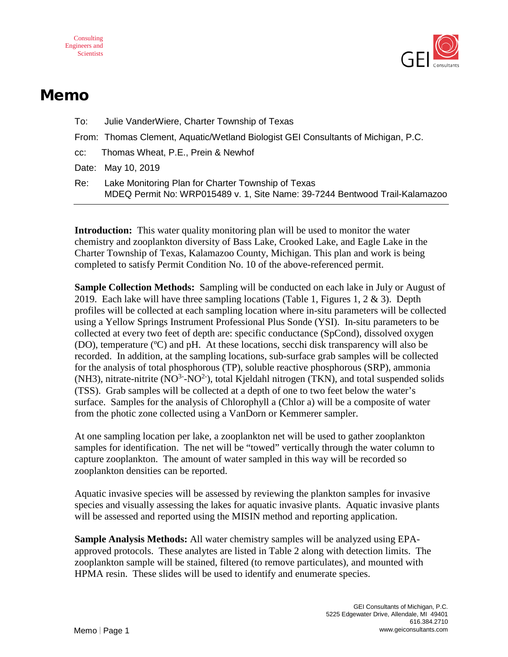



## Memo

| To: | Julie VanderWiere, Charter Township of Texas                                                                                      |
|-----|-----------------------------------------------------------------------------------------------------------------------------------|
|     | From: Thomas Clement, Aquatic/Wetland Biologist GEI Consultants of Michigan, P.C.                                                 |
|     | cc: Thomas Wheat, P.E., Prein & Newhof                                                                                            |
|     | Date: May 10, 2019                                                                                                                |
| Re: | Lake Monitoring Plan for Charter Township of Texas<br>MDEQ Permit No: WRP015489 v. 1, Site Name: 39-7244 Bentwood Trail-Kalamazoo |
|     |                                                                                                                                   |

**Introduction:** This water quality monitoring plan will be used to monitor the water chemistry and zooplankton diversity of Bass Lake, Crooked Lake, and Eagle Lake in the Charter Township of Texas, Kalamazoo County, Michigan. This plan and work is being completed to satisfy Permit Condition No. 10 of the above-referenced permit.

**Sample Collection Methods:** Sampling will be conducted on each lake in July or August of 2019. Each lake will have three sampling locations (Table 1, Figures 1,  $2 \& 3$ ). Depth profiles will be collected at each sampling location where in-situ parameters will be collected using a Yellow Springs Instrument Professional Plus Sonde (YSI). In-situ parameters to be collected at every two feet of depth are: specific conductance (SpCond), dissolved oxygen (DO), temperature (ºC) and pH. At these locations, secchi disk transparency will also be recorded. In addition, at the sampling locations, sub-surface grab samples will be collected for the analysis of total phosphorous (TP), soluble reactive phosphorous (SRP), ammonia (NH3), nitrate-nitrite (NO $3$ -NO $2$ ), total Kjeldahl nitrogen (TKN), and total suspended solids (TSS). Grab samples will be collected at a depth of one to two feet below the water's surface. Samples for the analysis of Chlorophyll a (Chlor a) will be a composite of water from the photic zone collected using a VanDorn or Kemmerer sampler.

At one sampling location per lake, a zooplankton net will be used to gather zooplankton samples for identification. The net will be "towed" vertically through the water column to capture zooplankton. The amount of water sampled in this way will be recorded so zooplankton densities can be reported.

Aquatic invasive species will be assessed by reviewing the plankton samples for invasive species and visually assessing the lakes for aquatic invasive plants. Aquatic invasive plants will be assessed and reported using the MISIN method and reporting application.

**Sample Analysis Methods:** All water chemistry samples will be analyzed using EPAapproved protocols. These analytes are listed in Table 2 along with detection limits. The zooplankton sample will be stained, filtered (to remove particulates), and mounted with HPMA resin. These slides will be used to identify and enumerate species.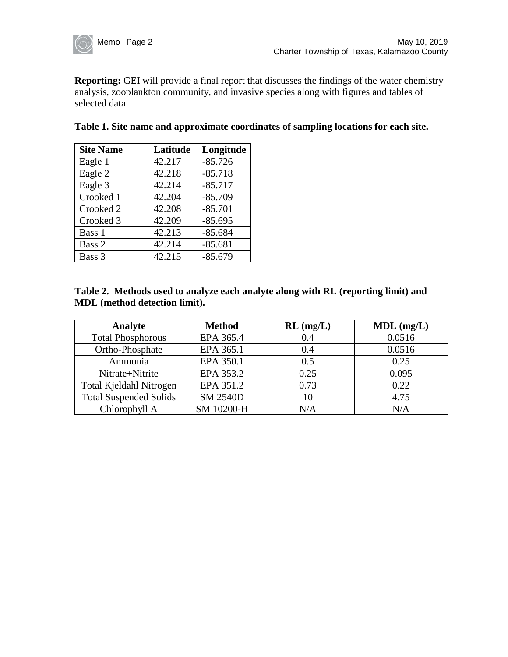

**Reporting:** GEI will provide a final report that discusses the findings of the water chemistry analysis, zooplankton community, and invasive species along with figures and tables of selected data.

| <b>Site Name</b> | Latitude | Longitude |
|------------------|----------|-----------|
| Eagle 1          | 42.217   | $-85.726$ |
| Eagle 2          | 42.218   | $-85.718$ |
| Eagle 3          | 42.214   | $-85.717$ |
| Crooked 1        | 42.204   | $-85.709$ |
| Crooked 2        | 42.208   | $-85.701$ |
| Crooked 3        | 42.209   | $-85.695$ |
| Bass 1           | 42.213   | $-85.684$ |
| Bass 2           | 42.214   | $-85.681$ |
| Bass 3           | 42.215   | $-85.679$ |

| Table 1. Site name and approximate coordinates of sampling locations for each site. |  |  |  |
|-------------------------------------------------------------------------------------|--|--|--|
|                                                                                     |  |  |  |

| Table 2. Methods used to analyze each analyte along with RL (reporting limit) and |  |
|-----------------------------------------------------------------------------------|--|
| <b>MDL</b> (method detection limit).                                              |  |

| Analyte                       | <b>Method</b>   | $RL$ (mg/L) | $MDL$ (mg/L) |
|-------------------------------|-----------------|-------------|--------------|
| <b>Total Phosphorous</b>      | EPA 365.4       | 0.4         | 0.0516       |
| Ortho-Phosphate               | EPA 365.1       | 0.4         | 0.0516       |
| Ammonia                       | EPA 350.1       | 0.5         | 0.25         |
| Nitrate+Nitrite               | EPA 353.2       | 0.25        | 0.095        |
| Total Kjeldahl Nitrogen       | EPA 351.2       | 0.73        | 0.22         |
| <b>Total Suspended Solids</b> | <b>SM 2540D</b> | 10          | 4.75         |
| Chlorophyll A                 | SM 10200-H      | N/A         | N/A          |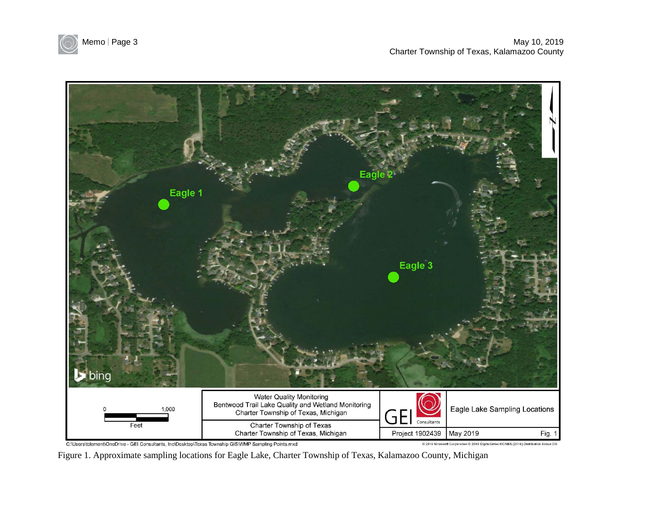



C:\Users\tclement\OneDrive - GEI Consultants, Inc\Desktop\Texas Township GIS\WMP Sampling Points.mxd

C 2019 Microsoft Corporation C 2019 DigitalGlobe CCNES (2019) Distribution Airbus DS

Figure 1. Approximate sampling locations for Eagle Lake, Charter Township of Texas, Kalamazoo County, Michigan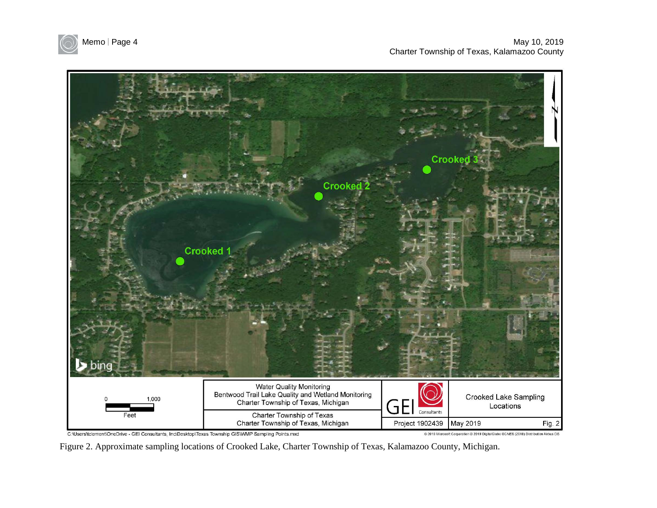



C:\Users\tclement\OneDrive - GEI Consultants, Inc\Desktop\Texas Township GIS\WMP Sampling Points.mxd

<sup>@ 2019</sup> Microsoft Corporation @ 2019 DigitalGlobe @CNES (2019) Distribution Airbus DS